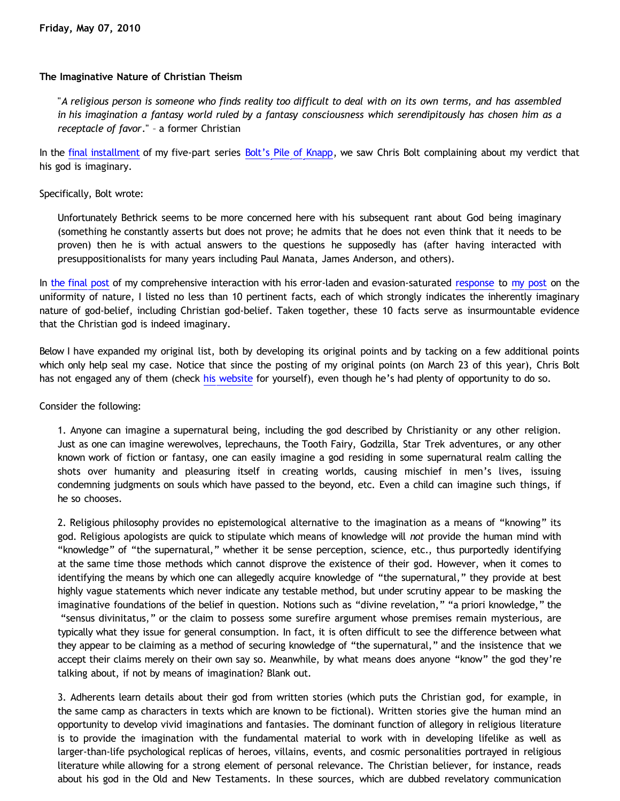# **The Imaginative Nature of Christian Theism**

"*A religious person is someone who finds reality too difficult to deal with on its own terms, and has assembled in his imagination a fantasy world ruled by a fantasy consciousness which serendipitously has chosen him as a receptacle of favor*." – a former Christian

In the [final installment](http://bahnsenburner.blogspot.com/2010/03/bolts-pile-of-knapp-pt-5.html) of my five-part series [Bolt's Pile of Knapp](http://katholon.com/Bolts-Pile-of-Knapp.htm), we saw Chris Bolt complaining about my verdict that his god is imaginary.

## Specifically, Bolt wrote:

Unfortunately Bethrick seems to be more concerned here with his subsequent rant about God being imaginary (something he constantly asserts but does not prove; he admits that he does not even think that it needs to be proven) then he is with actual answers to the questions he supposedly has (after having interacted with presuppositionalists for many years including Paul Manata, James Anderson, and others).

In [the final post](http://bahnsenburner.blogspot.com/2010/03/bolts-pile-of-knapp-pt-5.html) of my comprehensive interaction with his error-laden and evasion-saturated [response](http://www.choosinghats.com/?p=997) to [my post](http://bahnsenburner.blogspot.com/2010/02/uniformity-of-nature.html) on the uniformity of nature, I listed no less than 10 pertinent facts, each of which strongly indicates the inherently imaginary nature of god-belief, including Christian god-belief. Taken together, these 10 facts serve as insurmountable evidence that the Christian god is indeed imaginary.

Below I have expanded my original list, both by developing its original points and by tacking on a few additional points which only help seal my case. Notice that since the posting of my original points (on March 23 of this year), Chris Bolt has not engaged any of them (check [his website](http://www.choosinghats.com/) for yourself), even though he's had plenty of opportunity to do so.

## Consider the following:

1. Anyone can imagine a supernatural being, including the god described by Christianity or any other religion. Just as one can imagine werewolves, leprechauns, the Tooth Fairy, Godzilla, Star Trek adventures, or any other known work of fiction or fantasy, one can easily imagine a god residing in some supernatural realm calling the shots over humanity and pleasuring itself in creating worlds, causing mischief in men's lives, issuing condemning judgments on souls which have passed to the beyond, etc. Even a child can imagine such things, if he so chooses.

2. Religious philosophy provides no epistemological alternative to the imagination as a means of "knowing" its god. Religious apologists are quick to stipulate which means of knowledge will *not* provide the human mind with "knowledge" of "the supernatural," whether it be sense perception, science, etc., thus purportedly identifying at the same time those methods which cannot disprove the existence of their god. However, when it comes to identifying the means by which one can allegedly acquire knowledge of "the supernatural," they provide at best highly vague statements which never indicate any testable method, but under scrutiny appear to be masking the imaginative foundations of the belief in question. Notions such as "divine revelation," "a priori knowledge," the "sensus divinitatus," or the claim to possess some surefire argument whose premises remain mysterious, are typically what they issue for general consumption. In fact, it is often difficult to see the difference between what they appear to be claiming as a method of securing knowledge of "the supernatural," and the insistence that we accept their claims merely on their own say so. Meanwhile, by what means does anyone "know" the god they're talking about, if not by means of imagination? Blank out.

3. Adherents learn details about their god from written stories (which puts the Christian god, for example, in the same camp as characters in texts which are known to be fictional). Written stories give the human mind an opportunity to develop vivid imaginations and fantasies. The dominant function of allegory in religious literature is to provide the imagination with the fundamental material to work with in developing lifelike as well as larger-than-life psychological replicas of heroes, villains, events, and cosmic personalities portrayed in religious literature while allowing for a strong element of personal relevance. The Christian believer, for instance, reads about his god in the Old and New Testaments. In these sources, which are dubbed revelatory communication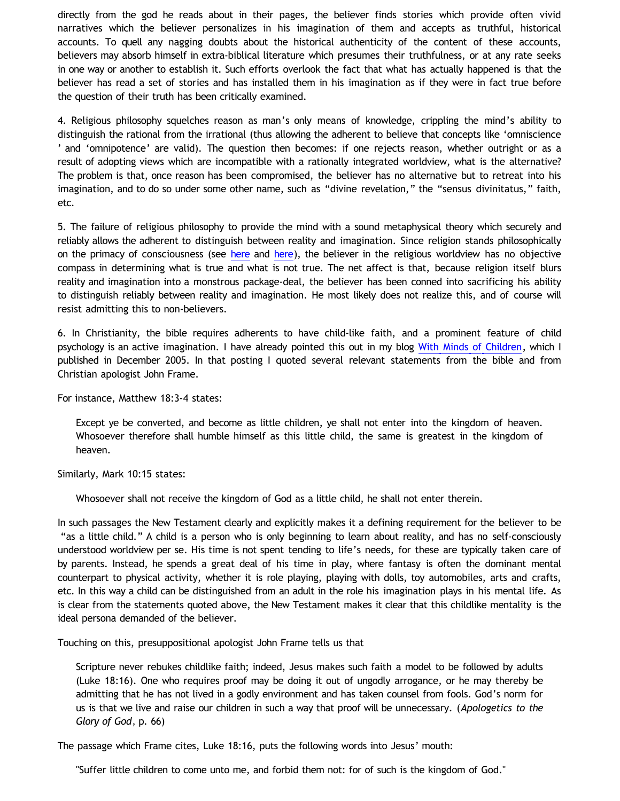directly from the god he reads about in their pages, the believer finds stories which provide often vivid narratives which the believer personalizes in his imagination of them and accepts as truthful, historical accounts. To quell any nagging doubts about the historical authenticity of the content of these accounts, believers may absorb himself in extra-biblical literature which presumes their truthfulness, or at any rate seeks in one way or another to establish it. Such efforts overlook the fact that what has actually happened is that the believer has read a set of stories and has installed them in his imagination as if they were in fact true before the question of their truth has been critically examined.

4. Religious philosophy squelches reason as man's only means of knowledge, crippling the mind's ability to distinguish the rational from the irrational (thus allowing the adherent to believe that concepts like 'omniscience ' and 'omnipotence' are valid). The question then becomes: if one rejects reason, whether outright or as a result of adopting views which are incompatible with a rationally integrated worldview, what is the alternative? The problem is that, once reason has been compromised, the believer has no alternative but to retreat into his imagination, and to do so under some other name, such as "divine revelation," the "sensus divinitatus," faith, etc.

5. The failure of religious philosophy to provide the mind with a sound metaphysical theory which securely and reliably allows the adherent to distinguish between reality and imagination. Since religion stands philosophically on the primacy of consciousness (see [here](http://bahnsenburner.blogspot.com/2008/12/inherent-subjectivism-of-god-belief.html) and [here](http://bahnsenburner.blogspot.com/2010/02/how-theism-violates-primacy-of.html)), the believer in the religious worldview has no objective compass in determining what is true and what is not true. The net affect is that, because religion itself blurs reality and imagination into a monstrous package-deal, the believer has been conned into sacrificing his ability to distinguish reliably between reality and imagination. He most likely does not realize this, and of course will resist admitting this to non-believers.

6. In Christianity, the bible requires adherents to have child-like faith, and a prominent feature of child psychology is an active imagination. I have already pointed this out in my blog [With Minds of Children](http://bahnsenburner.blogspot.com/2005/12/with-minds-of-children.html), which I published in December 2005. In that posting I quoted several relevant statements from the bible and from Christian apologist John Frame.

For instance, Matthew 18:3-4 states:

Except ye be converted, and become as little children, ye shall not enter into the kingdom of heaven. Whosoever therefore shall humble himself as this little child, the same is greatest in the kingdom of heaven.

Similarly, Mark 10:15 states:

Whosoever shall not receive the kingdom of God as a little child, he shall not enter therein.

In such passages the New Testament clearly and explicitly makes it a defining requirement for the believer to be "as a little child." A child is a person who is only beginning to learn about reality, and has no self-consciously understood worldview per se. His time is not spent tending to life's needs, for these are typically taken care of by parents. Instead, he spends a great deal of his time in play, where fantasy is often the dominant mental counterpart to physical activity, whether it is role playing, playing with dolls, toy automobiles, arts and crafts, etc. In this way a child can be distinguished from an adult in the role his imagination plays in his mental life. As is clear from the statements quoted above, the New Testament makes it clear that this childlike mentality is the ideal persona demanded of the believer.

Touching on this, presuppositional apologist John Frame tells us that

Scripture never rebukes childlike faith; indeed, Jesus makes such faith a model to be followed by adults (Luke 18:16). One who requires proof may be doing it out of ungodly arrogance, or he may thereby be admitting that he has not lived in a godly environment and has taken counsel from fools. God's norm for us is that we live and raise our children in such a way that proof will be unnecessary. (*Apologetics to the Glory of God*, p. 66)

The passage which Frame cites, Luke 18:16, puts the following words into Jesus' mouth:

"Suffer little children to come unto me, and forbid them not: for of such is the kingdom of God."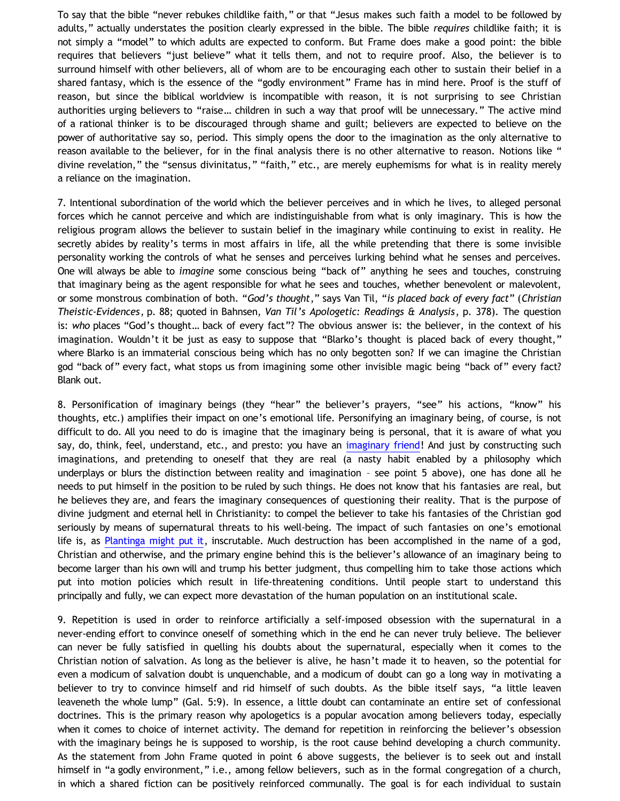To say that the bible "never rebukes childlike faith," or that "Jesus makes such faith a model to be followed by adults," actually understates the position clearly expressed in the bible. The bible *requires* childlike faith; it is not simply a "model" to which adults are expected to conform. But Frame does make a good point: the bible requires that believers "just believe" what it tells them, and not to require proof. Also, the believer is to surround himself with other believers, all of whom are to be encouraging each other to sustain their belief in a shared fantasy, which is the essence of the "godly environment" Frame has in mind here. Proof is the stuff of reason, but since the biblical worldview is incompatible with reason, it is not surprising to see Christian authorities urging believers to "raise… children in such a way that proof will be unnecessary." The active mind of a rational thinker is to be discouraged through shame and guilt; believers are expected to believe on the power of authoritative say so, period. This simply opens the door to the imagination as the only alternative to reason available to the believer, for in the final analysis there is no other alternative to reason. Notions like " divine revelation," the "sensus divinitatus," "faith," etc., are merely euphemisms for what is in reality merely a reliance on the imagination.

7. Intentional subordination of the world which the believer perceives and in which he lives, to alleged personal forces which he cannot perceive and which are indistinguishable from what is only imaginary. This is how the religious program allows the believer to sustain belief in the imaginary while continuing to exist in reality. He secretly abides by reality's terms in most affairs in life, all the while pretending that there is some invisible personality working the controls of what he senses and perceives lurking behind what he senses and perceives. One will always be able to *imagine* some conscious being "back of" anything he sees and touches, construing that imaginary being as the agent responsible for what he sees and touches, whether benevolent or malevolent, or some monstrous combination of both. "*God's thought*," says Van Til, "*is placed back of every fact*" (*Christian Theistic-Evidences*, p. 88; quoted in Bahnsen, *Van Til's Apologetic: Readings & Analysis*, p. 378). The question is: *who* places "God's thought… back of every fact"? The obvious answer is: the believer, in the context of his imagination. Wouldn't it be just as easy to suppose that "Blarko's thought is placed back of every thought," where Blarko is an immaterial conscious being which has no only begotten son? If we can imagine the Christian god "back of" every fact, what stops us from imagining some other invisible magic being "back of" every fact? Blank out.

8. Personification of imaginary beings (they "hear" the believer's prayers, "see" his actions, "know" his thoughts, etc.) amplifies their impact on one's emotional life. Personifying an imaginary being, of course, is not difficult to do. All you need to do is imagine that the imaginary being is personal, that it is aware of what you say, do, think, feel, understand, etc., and presto: you have an [imaginary friend!](http://bahnsenburner.blogspot.com/2006/08/christianity-imaginary-friends-network.html) And just by constructing such imaginations, and pretending to oneself that they are real (a nasty habit enabled by a philosophy which underplays or blurs the distinction between reality and imagination – see point 5 above), one has done all he needs to put himself in the position to be ruled by such things. He does not know that his fantasies are real, but he believes they are, and fears the imaginary consequences of questioning their reality. That is the purpose of divine judgment and eternal hell in Christianity: to compel the believer to take his fantasies of the Christian god seriously by means of supernatural threats to his well-being. The impact of such fantasies on one's emotional life is, as [Plantinga might put it,](http://www.proginosko.com/docs/IfKnowledgeThenGod.pdf) inscrutable. Much destruction has been accomplished in the name of a god, Christian and otherwise, and the primary engine behind this is the believer's allowance of an imaginary being to become larger than his own will and trump his better judgment, thus compelling him to take those actions which put into motion policies which result in life-threatening conditions. Until people start to understand this principally and fully, we can expect more devastation of the human population on an institutional scale.

9. Repetition is used in order to reinforce artificially a self-imposed obsession with the supernatural in a never-ending effort to convince oneself of something which in the end he can never truly believe. The believer can never be fully satisfied in quelling his doubts about the supernatural, especially when it comes to the Christian notion of salvation. As long as the believer is alive, he hasn't made it to heaven, so the potential for even a modicum of salvation doubt is unquenchable, and a modicum of doubt can go a long way in motivating a believer to try to convince himself and rid himself of such doubts. As the bible itself says, "a little leaven leaveneth the whole lump" (Gal. 5:9). In essence, a little doubt can contaminate an entire set of confessional doctrines. This is the primary reason why apologetics is a popular avocation among believers today, especially when it comes to choice of internet activity. The demand for repetition in reinforcing the believer's obsession with the imaginary beings he is supposed to worship, is the root cause behind developing a church community. As the statement from John Frame quoted in point 6 above suggests, the believer is to seek out and install himself in "a godly environment," i.e., among fellow believers, such as in the formal congregation of a church, in which a shared fiction can be positively reinforced communally. The goal is for each individual to sustain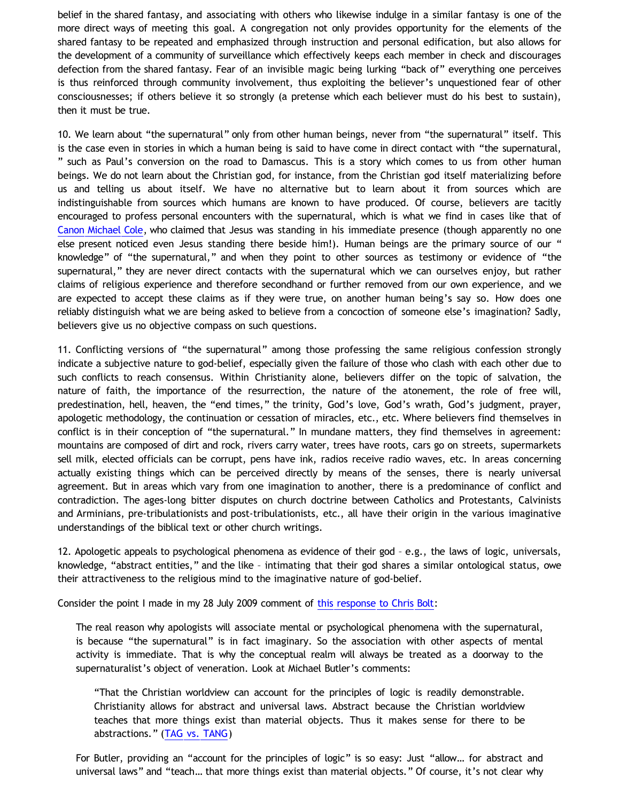belief in the shared fantasy, and associating with others who likewise indulge in a similar fantasy is one of the more direct ways of meeting this goal. A congregation not only provides opportunity for the elements of the shared fantasy to be repeated and emphasized through instruction and personal edification, but also allows for the development of a community of surveillance which effectively keeps each member in check and discourages defection from the shared fantasy. Fear of an invisible magic being lurking "back of" everything one perceives is thus reinforced through community involvement, thus exploiting the believer's unquestioned fear of other consciousnesses; if others believe it so strongly (a pretense which each believer must do his best to sustain), then it must be true.

10. We learn about "the supernatural" only from other human beings, never from "the supernatural" itself. This is the case even in stories in which a human being is said to have come in direct contact with "the supernatural, " such as Paul's conversion on the road to Damascus. This is a story which comes to us from other human beings. We do not learn about the Christian god, for instance, from the Christian god itself materializing before us and telling us about itself. We have no alternative but to learn about it from sources which are indistinguishable from sources which humans are known to have produced. Of course, believers are tacitly encouraged to profess personal encounters with the supernatural, which is what we find in cases like that of [Canon Michael Cole,](http://bahnsenburner.blogspot.com/2006/06/carr-vs-cole.html) who claimed that Jesus was standing in his immediate presence (though apparently no one else present noticed even Jesus standing there beside him!). Human beings are the primary source of our " knowledge" of "the supernatural," and when they point to other sources as testimony or evidence of "the supernatural," they are never direct contacts with the supernatural which we can ourselves enjoy, but rather claims of religious experience and therefore secondhand or further removed from our own experience, and we are expected to accept these claims as if they were true, on another human being's say so. How does one reliably distinguish what we are being asked to believe from a concoction of someone else's imagination? Sadly, believers give us no objective compass on such questions.

11. Conflicting versions of "the supernatural" among those professing the same religious confession strongly indicate a subjective nature to god-belief, especially given the failure of those who clash with each other due to such conflicts to reach consensus. Within Christianity alone, believers differ on the topic of salvation, the nature of faith, the importance of the resurrection, the nature of the atonement, the role of free will, predestination, hell, heaven, the "end times," the trinity, God's love, God's wrath, God's judgment, prayer, apologetic methodology, the continuation or cessation of miracles, etc., etc. Where believers find themselves in conflict is in their conception of "the supernatural." In mundane matters, they find themselves in agreement: mountains are composed of dirt and rock, rivers carry water, trees have roots, cars go on streets, supermarkets sell milk, elected officials can be corrupt, pens have ink, radios receive radio waves, etc. In areas concerning actually existing things which can be perceived directly by means of the senses, there is nearly universal agreement. But in areas which vary from one imagination to another, there is a predominance of conflict and contradiction. The ages-long bitter disputes on church doctrine between Catholics and Protestants, Calvinists and Arminians, pre-tribulationists and post-tribulationists, etc., all have their origin in the various imaginative understandings of the biblical text or other church writings.

12. Apologetic appeals to psychological phenomena as evidence of their god – e.g., the laws of logic, universals, knowledge, "abstract entities," and the like – intimating that their god shares a similar ontological status, owe their attractiveness to the religious mind to the imaginative nature of god-belief.

Consider the point I made in my 28 July 2009 comment of [this response to Chris Bolt](http://bahnsenburner.blogspot.com/2009/07/rejoinder-to-chris-bolt.html):

The real reason why apologists will associate mental or psychological phenomena with the supernatural, is because "the supernatural" is in fact imaginary. So the association with other aspects of mental activity is immediate. That is why the conceptual realm will always be treated as a doorway to the supernaturalist's object of veneration. Look at Michael Butler's comments:

"That the Christian worldview can account for the principles of logic is readily demonstrable. Christianity allows for abstract and universal laws. Abstract because the Christian worldview teaches that more things exist than material objects. Thus it makes sense for there to be abstractions." ([TAG vs. TANG\)](http://www.reformed.org/master/index.html?mainframe=/apologetics/martin/pen896.html)

For Butler, providing an "account for the principles of logic" is so easy: Just "allow… for abstract and universal laws" and "teach… that more things exist than material objects." Of course, it's not clear why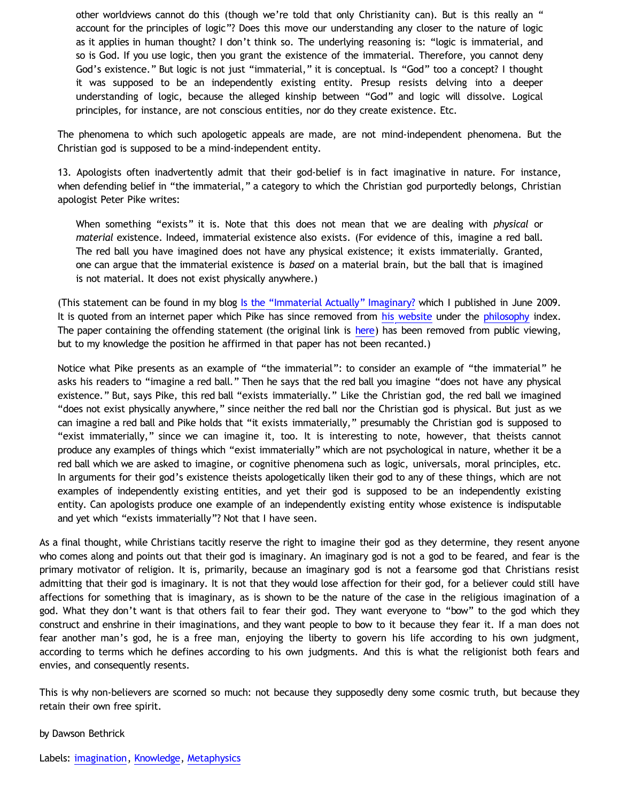other worldviews cannot do this (though we're told that only Christianity can). But is this really an " account for the principles of logic"? Does this move our understanding any closer to the nature of logic as it applies in human thought? I don't think so. The underlying reasoning is: "logic is immaterial, and so is God. If you use logic, then you grant the existence of the immaterial. Therefore, you cannot deny God's existence." But logic is not just "immaterial," it is conceptual. Is "God" too a concept? I thought it was supposed to be an independently existing entity. Presup resists delving into a deeper understanding of logic, because the alleged kinship between "God" and logic will dissolve. Logical principles, for instance, are not conscious entities, nor do they create existence. Etc.

The phenomena to which such apologetic appeals are made, are not mind-independent phenomena. But the Christian god is supposed to be a mind-independent entity.

13. Apologists often inadvertently admit that their god-belief is in fact imaginative in nature. For instance, when defending belief in "the immaterial," a category to which the Christian god purportedly belongs, Christian apologist Peter Pike writes:

When something "exists" it is. Note that this does not mean that we are dealing with *physical* or *material* existence. Indeed, immaterial existence also exists. (For evidence of this, imagine a red ball. The red ball you have imagined does not have any physical existence; it exists immaterially. Granted, one can argue that the immaterial existence is *based* on a material brain, but the ball that is imagined is not material. It does not exist physically anywhere.)

(This statement can be found in my blog [Is the](http://bahnsenburner.blogspot.com/2009/06/is-immaterial-actually-imaginary.html) ["Immaterial Actually" Imaginary?](http://bahnsenburner.blogspot.com/2009/06/is-immaterial-actually-imaginary.html) which I published in June 2009. It is quoted from an internet paper which Pike has since removed from [his website](http://peterpike.us/) under the [philosophy](http://peterpike.us/philosophy/Default.aspx) index. The paper containing the offending statement (the original link is [here](http://peterpike.us/philosophy/philosophy0002.aspx)) has been removed from public viewing, but to my knowledge the position he affirmed in that paper has not been recanted.)

Notice what Pike presents as an example of "the immaterial": to consider an example of "the immaterial" he asks his readers to "imagine a red ball." Then he says that the red ball you imagine "does not have any physical existence." But, says Pike, this red ball "exists immaterially." Like the Christian god, the red ball we imagined "does not exist physically anywhere," since neither the red ball nor the Christian god is physical. But just as we can imagine a red ball and Pike holds that "it exists immaterially," presumably the Christian god is supposed to "exist immaterially," since we can imagine it, too. It is interesting to note, however, that theists cannot produce any examples of things which "exist immaterially" which are not psychological in nature, whether it be a red ball which we are asked to imagine, or cognitive phenomena such as logic, universals, moral principles, etc. In arguments for their god's existence theists apologetically liken their god to any of these things, which are not examples of independently existing entities, and yet their god is supposed to be an independently existing entity. Can apologists produce one example of an independently existing entity whose existence is indisputable and yet which "exists immaterially"? Not that I have seen.

As a final thought, while Christians tacitly reserve the right to imagine their god as they determine, they resent anyone who comes along and points out that their god is imaginary. An imaginary god is not a god to be feared, and fear is the primary motivator of religion. It is, primarily, because an imaginary god is not a fearsome god that Christians resist admitting that their god is imaginary. It is not that they would lose affection for their god, for a believer could still have affections for something that is imaginary, as is shown to be the nature of the case in the religious imagination of a god. What they don't want is that others fail to fear their god. They want everyone to "bow" to the god which they construct and enshrine in their imaginations, and they want people to bow to it because they fear it. If a man does not fear another man's god, he is a free man, enjoying the liberty to govern his life according to his own judgment, according to terms which he defines according to his own judgments. And this is what the religionist both fears and envies, and consequently resents.

This is why non-believers are scorned so much: not because they supposedly deny some cosmic truth, but because they retain their own free spirit.

#### by Dawson Bethrick

Labels: [imagination](http://bahnsenburner.blogspot.com/search/label/imagination), [Knowledge](http://bahnsenburner.blogspot.com/search/label/Knowledge), [Metaphysics](http://bahnsenburner.blogspot.com/search/label/Metaphysics)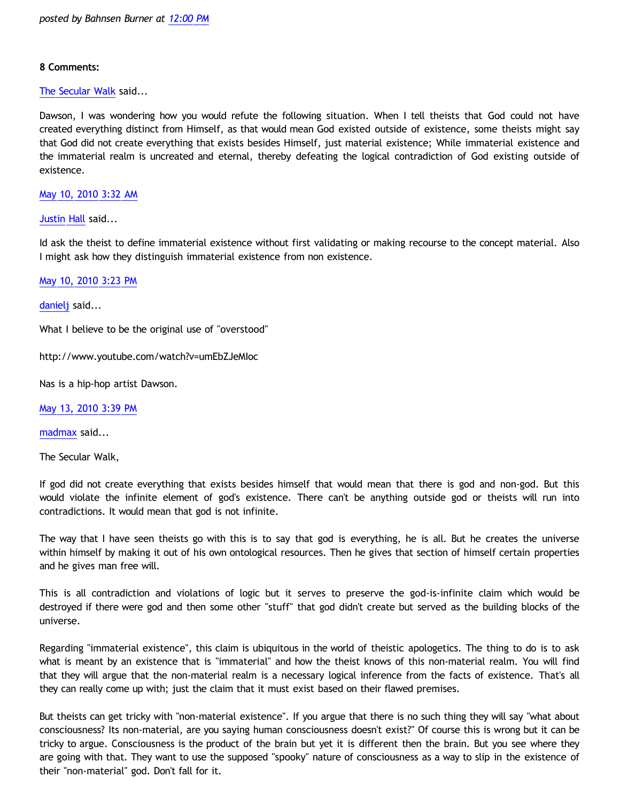## **8 Comments:**

[The Secular Walk](http://www.blogger.com/profile/08342572056569966450) said...

Dawson, I was wondering how you would refute the following situation. When I tell theists that God could not have created everything distinct from Himself, as that would mean God existed outside of existence, some theists might say that God did not create everything that exists besides Himself, just material existence; While immaterial existence and the immaterial realm is uncreated and eternal, thereby defeating the logical contradiction of God existing outside of existence.

[May 10, 2010 3:32 AM](http://bahnsenburner.blogspot.com/2010/05/2922583943022563770)

[Justin Hall](http://www.blogger.com/profile/17804641315202800289) said...

Id ask the theist to define immaterial existence without first validating or making recourse to the concept material. Also I might ask how they distinguish immaterial existence from non existence.

[May 10, 2010 3:23 PM](http://bahnsenburner.blogspot.com/2010/05/4938196963668181576)

[danielj](http://www.blogger.com/profile/12386575757949129658) said...

What I believe to be the original use of "overstood"

<http://www.youtube.com/watch?v=umEbZJeMIoc>

Nas is a hip-hop artist Dawson.

[May 13, 2010 3:39 PM](http://bahnsenburner.blogspot.com/2010/05/4681193445619102277)

[madmax](http://www.blogger.com/profile/14375140131881725965) said...

The Secular Walk,

If god did not create everything that exists besides himself that would mean that there is god and non-god. But this would violate the infinite element of god's existence. There can't be anything outside god or theists will run into contradictions. It would mean that god is not infinite.

The way that I have seen theists go with this is to say that god is everything, he is all. But he creates the universe within himself by making it out of his own ontological resources. Then he gives that section of himself certain properties and he gives man free will.

This is all contradiction and violations of logic but it serves to preserve the god-is-infinite claim which would be destroyed if there were god and then some other "stuff" that god didn't create but served as the building blocks of the universe.

Regarding "immaterial existence", this claim is ubiquitous in the world of theistic apologetics. The thing to do is to ask what is meant by an existence that is "immaterial" and how the theist knows of this non-material realm. You will find that they will argue that the non-material realm is a necessary logical inference from the facts of existence. That's all they can really come up with; just the claim that it must exist based on their flawed premises.

But theists can get tricky with "non-material existence". If you argue that there is no such thing they will say "what about consciousness? Its non-material, are you saying human consciousness doesn't exist?" Of course this is wrong but it can be tricky to argue. Consciousness is the product of the brain but yet it is different then the brain. But you see where they are going with that. They want to use the supposed "spooky" nature of consciousness as a way to slip in the existence of their "non-material" god. Don't fall for it.